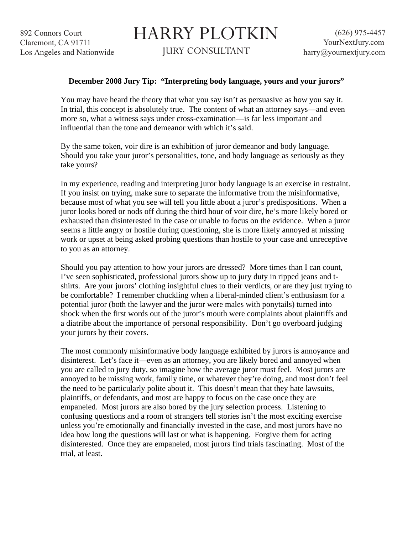## HARRY PLOTKIN

JURY CONSULTANT

## **December 2008 Jury Tip: "Interpreting body language, yours and your jurors"**

You may have heard the theory that what you say isn't as persuasive as how you say it. In trial, this concept is absolutely true. The content of what an attorney says—and even more so, what a witness says under cross-examination—is far less important and influential than the tone and demeanor with which it's said.

By the same token, voir dire is an exhibition of juror demeanor and body language. Should you take your juror's personalities, tone, and body language as seriously as they take yours?

In my experience, reading and interpreting juror body language is an exercise in restraint. If you insist on trying, make sure to separate the informative from the misinformative, because most of what you see will tell you little about a juror's predispositions. When a juror looks bored or nods off during the third hour of voir dire, he's more likely bored or exhausted than disinterested in the case or unable to focus on the evidence. When a juror seems a little angry or hostile during questioning, she is more likely annoyed at missing work or upset at being asked probing questions than hostile to your case and unreceptive to you as an attorney.

Should you pay attention to how your jurors are dressed? More times than I can count, I've seen sophisticated, professional jurors show up to jury duty in ripped jeans and tshirts. Are your jurors' clothing insightful clues to their verdicts, or are they just trying to be comfortable? I remember chuckling when a liberal-minded client's enthusiasm for a potential juror (both the lawyer and the juror were males with ponytails) turned into shock when the first words out of the juror's mouth were complaints about plaintiffs and a diatribe about the importance of personal responsibility. Don't go overboard judging your jurors by their covers.

The most commonly misinformative body language exhibited by jurors is annoyance and disinterest. Let's face it—even as an attorney, you are likely bored and annoyed when you are called to jury duty, so imagine how the average juror must feel. Most jurors are annoyed to be missing work, family time, or whatever they're doing, and most don't feel the need to be particularly polite about it. This doesn't mean that they hate lawsuits, plaintiffs, or defendants, and most are happy to focus on the case once they are empaneled. Most jurors are also bored by the jury selection process. Listening to confusing questions and a room of strangers tell stories isn't the most exciting exercise unless you're emotionally and financially invested in the case, and most jurors have no idea how long the questions will last or what is happening. Forgive them for acting disinterested. Once they are empaneled, most jurors find trials fascinating. Most of the trial, at least.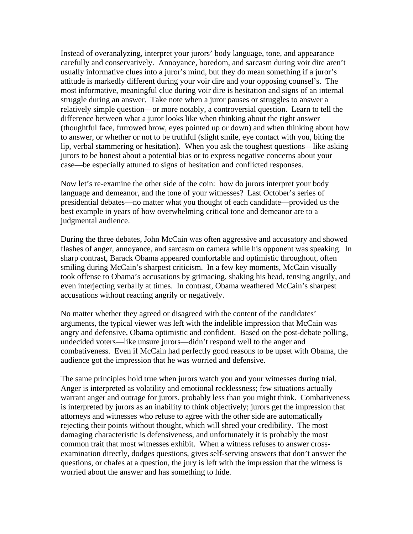Instead of overanalyzing, interpret your jurors' body language, tone, and appearance carefully and conservatively. Annoyance, boredom, and sarcasm during voir dire aren't usually informative clues into a juror's mind, but they do mean something if a juror's attitude is markedly different during your voir dire and your opposing counsel's. The most informative, meaningful clue during voir dire is hesitation and signs of an internal struggle during an answer. Take note when a juror pauses or struggles to answer a relatively simple question—or more notably, a controversial question. Learn to tell the difference between what a juror looks like when thinking about the right answer (thoughtful face, furrowed brow, eyes pointed up or down) and when thinking about how to answer, or whether or not to be truthful (slight smile, eye contact with you, biting the lip, verbal stammering or hesitation). When you ask the toughest questions—like asking jurors to be honest about a potential bias or to express negative concerns about your case—be especially attuned to signs of hesitation and conflicted responses.

Now let's re-examine the other side of the coin: how do jurors interpret your body language and demeanor, and the tone of your witnesses? Last October's series of presidential debates—no matter what you thought of each candidate—provided us the best example in years of how overwhelming critical tone and demeanor are to a judgmental audience.

During the three debates, John McCain was often aggressive and accusatory and showed flashes of anger, annoyance, and sarcasm on camera while his opponent was speaking. In sharp contrast, Barack Obama appeared comfortable and optimistic throughout, often smiling during McCain's sharpest criticism. In a few key moments, McCain visually took offense to Obama's accusations by grimacing, shaking his head, tensing angrily, and even interjecting verbally at times. In contrast, Obama weathered McCain's sharpest accusations without reacting angrily or negatively.

No matter whether they agreed or disagreed with the content of the candidates' arguments, the typical viewer was left with the indelible impression that McCain was angry and defensive, Obama optimistic and confident. Based on the post-debate polling, undecided voters—like unsure jurors—didn't respond well to the anger and combativeness. Even if McCain had perfectly good reasons to be upset with Obama, the audience got the impression that he was worried and defensive.

The same principles hold true when jurors watch you and your witnesses during trial. Anger is interpreted as volatility and emotional recklessness; few situations actually warrant anger and outrage for jurors, probably less than you might think. Combativeness is interpreted by jurors as an inability to think objectively; jurors get the impression that attorneys and witnesses who refuse to agree with the other side are automatically rejecting their points without thought, which will shred your credibility. The most damaging characteristic is defensiveness, and unfortunately it is probably the most common trait that most witnesses exhibit. When a witness refuses to answer crossexamination directly, dodges questions, gives self-serving answers that don't answer the questions, or chafes at a question, the jury is left with the impression that the witness is worried about the answer and has something to hide.